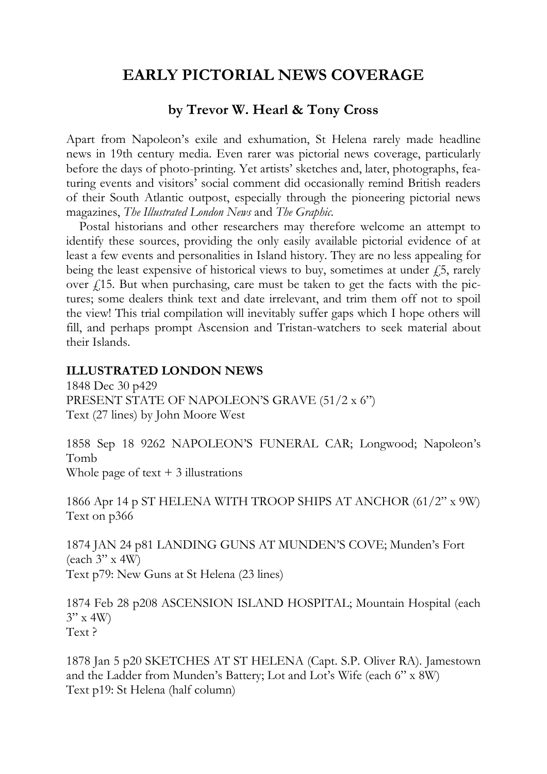# **EARLY PICTORIAL NEWS COVERAGE**

# **by Trevor W. Hearl & Tony Cross**

Apart from Napoleon's exile and exhumation, St Helena rarely made headline news in 19th century media. Even rarer was pictorial news coverage, particularly before the days of photo-printing. Yet artists' sketches and, later, photographs, featuring events and visitors' social comment did occasionally remind British readers of their South Atlantic outpost, especially through the pioneering pictorial news magazines, *The Illustrated London News* and *The Graphic*.

Postal historians and other researchers may therefore welcome an attempt to identify these sources, providing the only easily available pictorial evidence of at least a few events and personalities in Island history. They are no less appealing for being the least expensive of historical views to buy, sometimes at under  $\ddot{f}$ , rarely over  $f(15)$ . But when purchasing, care must be taken to get the facts with the pictures; some dealers think text and date irrelevant, and trim them off not to spoil the view! This trial compilation will inevitably suffer gaps which I hope others will fill, and perhaps prompt Ascension and Tristan-watchers to seek material about their Islands.

#### **ILLUSTRATED LONDON NEWS**

1848 Dec 30 p429 PRESENT STATE OF NAPOLEON'S GRAVE (51/2 x 6") Text (27 lines) by John Moore West

1858 Sep 18 9262 NAPOLEON'S FUNERAL CAR; Longwood; Napoleon's Tomb Whole page of text  $+3$  illustrations

1866 Apr 14 p ST HELENA WITH TROOP SHIPS AT ANCHOR (61/2" x 9W) Text on p366

1874 JAN 24 p81 LANDING GUNS AT MUNDEN'S COVE; Munden's Fort (each 3" x 4W) Text p79: New Guns at St Helena (23 lines)

1874 Feb 28 p208 ASCENSION ISLAND HOSPITAL; Mountain Hospital (each  $3''$  x 4W) Text ?

1878 Jan 5 p20 SKETCHES AT ST HELENA (Capt. S.P. Oliver RA). Jamestown and the Ladder from Munden's Battery; Lot and Lot's Wife (each 6" x 8W) Text p19: St Helena (half column)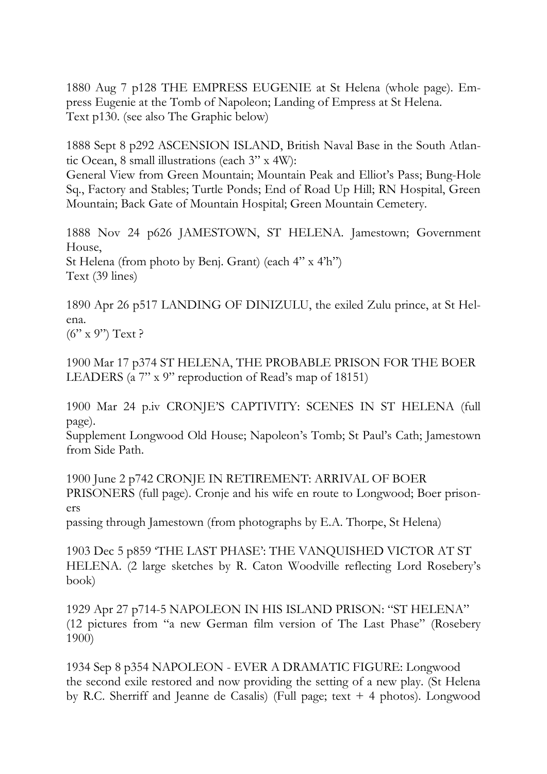1880 Aug 7 p128 THE EMPRESS EUGENIE at St Helena (whole page). Empress Eugenie at the Tomb of Napoleon; Landing of Empress at St Helena. Text p130. (see also The Graphic below)

1888 Sept 8 p292 ASCENSION ISLAND, British Naval Base in the South Atlantic Ocean, 8 small illustrations (each 3" x 4W):

General View from Green Mountain; Mountain Peak and Elliot's Pass; Bung-Hole Sq., Factory and Stables; Turtle Ponds; End of Road Up Hill; RN Hospital, Green Mountain; Back Gate of Mountain Hospital; Green Mountain Cemetery.

1888 Nov 24 p626 JAMESTOWN, ST HELENA. Jamestown; Government House, St Helena (from photo by Benj. Grant) (each 4" x 4'h") Text (39 lines)

1890 Apr 26 p517 LANDING OF DINIZULU, the exiled Zulu prince, at St Helena.  $(6'' \times 9'')$  Text ?

1900 Mar 17 p374 ST HELENA, THE PROBABLE PRISON FOR THE BOER LEADERS (a 7" x 9" reproduction of Read's map of 18151)

1900 Mar 24 p.iv CRONJE'S CAPTIVITY: SCENES IN ST HELENA (full page).

Supplement Longwood Old House; Napoleon's Tomb; St Paul's Cath; Jamestown from Side Path.

1900 June 2 p742 CRONJE IN RETIREMENT: ARRIVAL OF BOER PRISONERS (full page). Cronje and his wife en route to Longwood; Boer prisoners

passing through Jamestown (from photographs by E.A. Thorpe, St Helena)

1903 Dec 5 p859 'THE LAST PHASE': THE VANQUISHED VICTOR AT ST HELENA. (2 large sketches by R. Caton Woodville reflecting Lord Rosebery's book)

1929 Apr 27 p714-5 NAPOLEON IN HIS ISLAND PRISON: "ST HELENA" (12 pictures from "a new German film version of The Last Phase" (Rosebery 1900)

1934 Sep 8 p354 NAPOLEON - EVER A DRAMATIC FIGURE: Longwood the second exile restored and now providing the setting of a new play. (St Helena by R.C. Sherriff and Jeanne de Casalis) (Full page; text + 4 photos). Longwood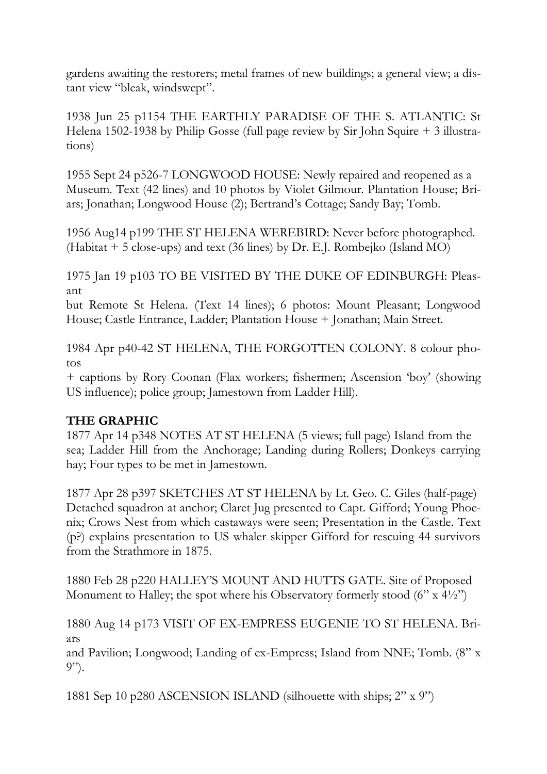gardens awaiting the restorers; metal frames of new buildings; a general view; a distant view "bleak, windswept".

1938 Jun 25 p1154 THE EARTHLY PARADISE OF THE S. ATLANTIC: St Helena 1502-1938 by Philip Gosse (full page review by Sir John Squire + 3 illustrations)

1955 Sept 24 p526-7 LONGWOOD HOUSE: Newly repaired and reopened as a Museum. Text (42 lines) and 10 photos by Violet Gilmour. Plantation House; Briars; Jonathan; Longwood House (2); Bertrand's Cottage; Sandy Bay; Tomb.

1956 Aug14 p199 THE ST HELENA WEREBIRD: Never before photographed. (Habitat + 5 close-ups) and text (36 lines) by Dr. E.J. Rombejko (Island MO)

1975 Jan 19 p103 TO BE VISITED BY THE DUKE OF EDINBURGH: Pleasant

but Remote St Helena. (Text 14 lines); 6 photos: Mount Pleasant; Longwood House; Castle Entrance, Ladder; Plantation House + Jonathan; Main Street.

1984 Apr p40-42 ST HELENA, THE FORGOTTEN COLONY. 8 colour photos

+ captions by Rory Coonan (Flax workers; fishermen; Ascension 'boy' (showing US influence); police group; Jamestown from Ladder Hill).

# **THE GRAPHIC**

1877 Apr 14 p348 NOTES AT ST HELENA (5 views; full page) Island from the sea; Ladder Hill from the Anchorage; Landing during Rollers; Donkeys carrying hay; Four types to be met in Jamestown.

1877 Apr 28 p397 SKETCHES AT ST HELENA by Lt. Geo. C. Giles (half-page) Detached squadron at anchor; Claret Jug presented to Capt. Gifford; Young Phoenix; Crows Nest from which castaways were seen; Presentation in the Castle. Text (p?) explains presentation to US whaler skipper Gifford for rescuing 44 survivors from the Strathmore in 1875.

1880 Feb 28 p220 HALLEY'S MOUNT AND HUTTS GATE. Site of Proposed Monument to Halley; the spot where his Observatory formerly stood  $(6'' \times 4\frac{1}{2})$ 

1880 Aug 14 p173 VISIT OF EX-EMPRESS EUGENIE TO ST HELENA. Briars

and Pavilion; Longwood; Landing of ex-Empress; Island from NNE; Tomb. (8" x 9").

1881 Sep 10 p280 ASCENSION ISLAND (silhouette with ships; 2" x 9")